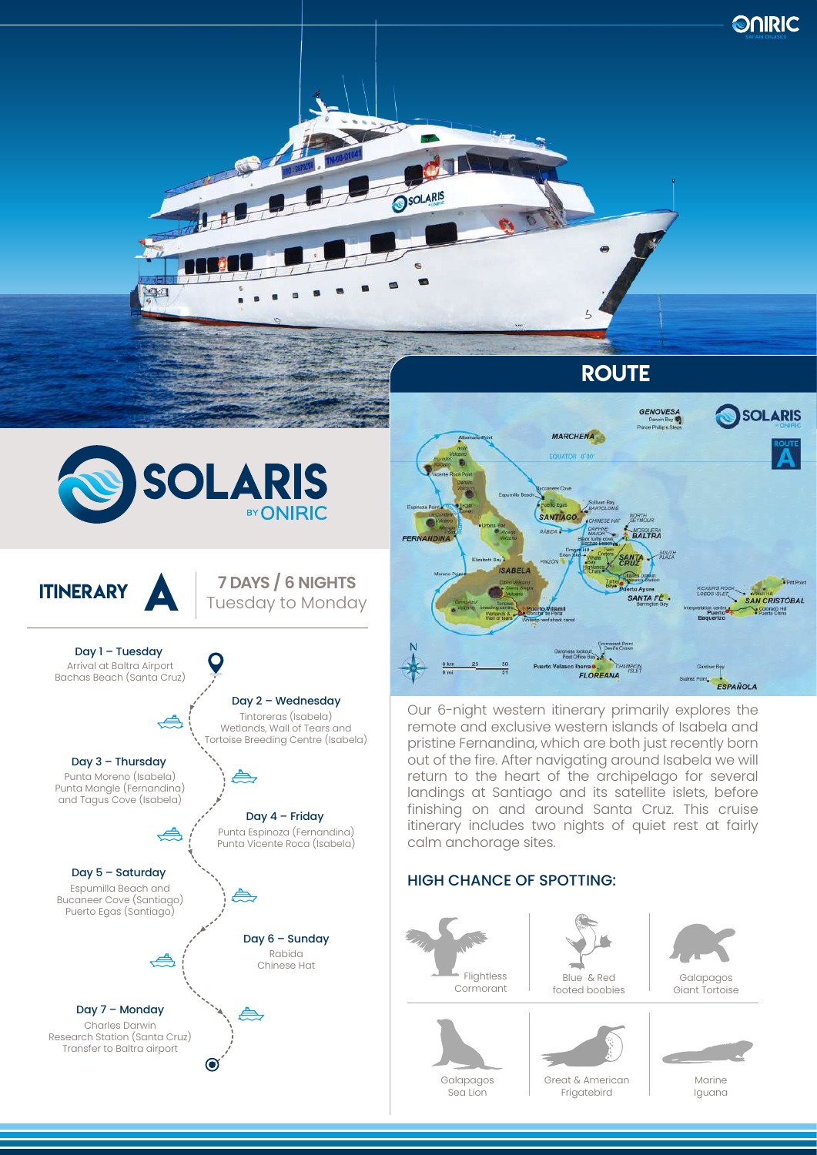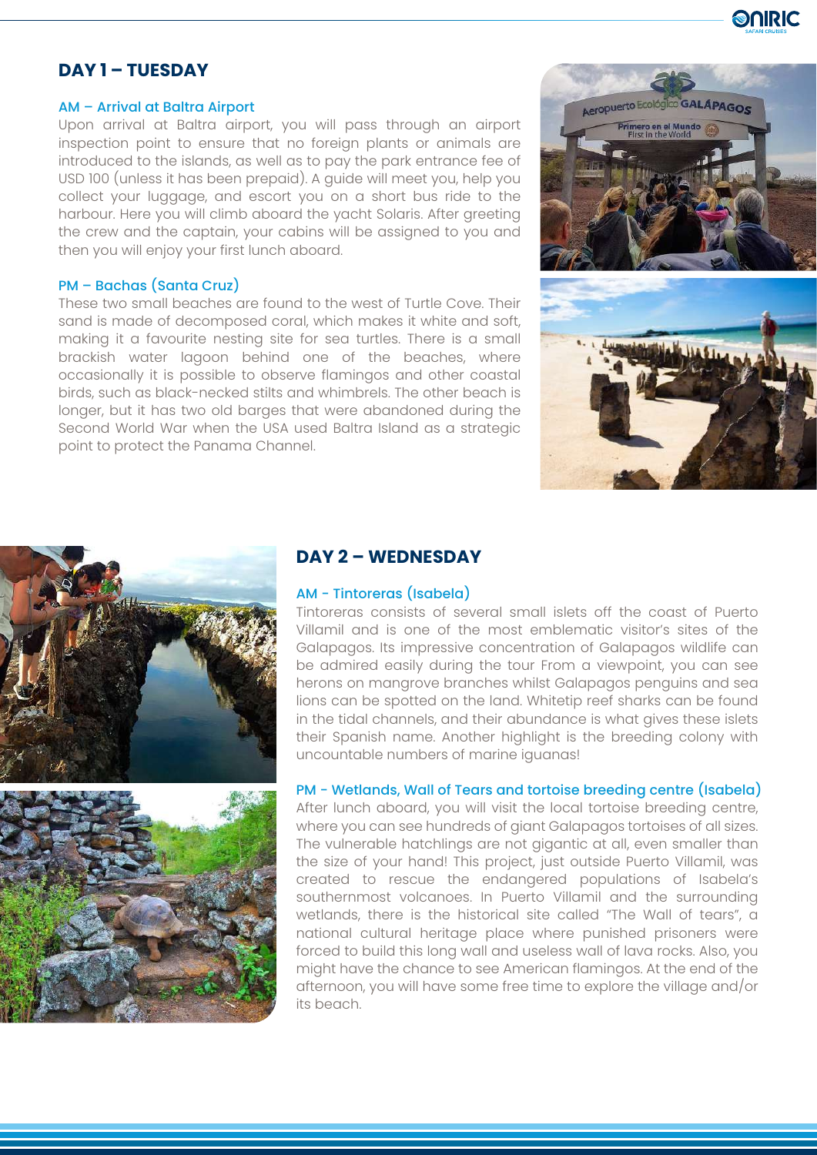

## **DAY 1 – TUESDAY**

#### AM – Arrival at Baltra Airport

Upon arrival at Baltra airport, you will pass through an airport inspection point to ensure that no foreign plants or animals are introduced to the islands, as well as to pay the park entrance fee of USD 100 (unless it has been prepaid). A guide will meet you, help you collect your luggage, and escort you on a short bus ride to the harbour. Here you will climb aboard the yacht Solaris. After greeting the crew and the captain, your cabins will be assigned to you and then you will enjoy your first lunch aboard.

#### PM – Bachas (Santa Cruz)

These two small beaches are found to the west of Turtle Cove. Their sand is made of decomposed coral, which makes it white and soft, making it a favourite nesting site for sea turtles. There is a small brackish water lagoon behind one of the beaches, where occasionally it is possible to observe flamingos and other coastal birds, such as black-necked stilts and whimbrels. The other beach is longer, but it has two old barges that were abandoned during the Second World War when the USA used Baltra Island as a strategic point to protect the Panama Channel.







## **DAY 2 – WEDNESDAY**

#### AM - Tintoreras (Isabela)

Tintoreras consists of several small islets off the coast of Puerto Villamil and is one of the most emblematic visitor's sites of the Galapagos. Its impressive concentration of Galapagos wildlife can be admired easily during the tour From a viewpoint, you can see herons on mangrove branches whilst Galapagos penguins and sea lions can be spotted on the land. Whitetip reef sharks can be found in the tidal channels, and their abundance is what gives these islets their Spanish name. Another highlight is the breeding colony with uncountable numbers of marine iguanas!

### PM - Wetlands, Wall of Tears and tortoise breeding centre (Isabela)

After lunch aboard, you will visit the local tortoise breeding centre, where you can see hundreds of giant Galapagos tortoises of all sizes. The vulnerable hatchlings are not gigantic at all, even smaller than the size of your hand! This project, just outside Puerto Villamil, was created to rescue the endangered populations of Isabela's southernmost volcanoes. In Puerto Villamil and the surrounding wetlands, there is the historical site called "The Wall of tears", a national cultural heritage place where punished prisoners were forced to build this long wall and useless wall of lava rocks. Also, you might have the chance to see American flamingos. At the end of the afternoon, you will have some free time to explore the village and/or its beach.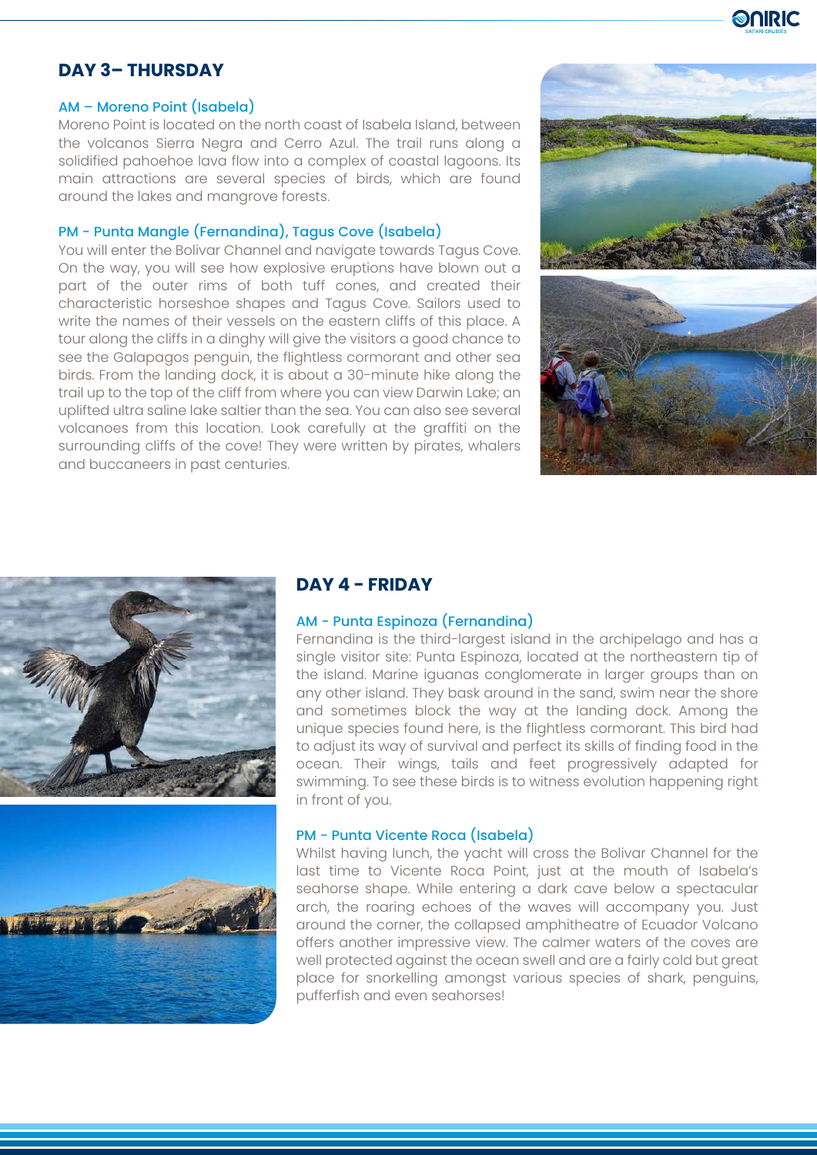

# **DAY 3– THURSDAY**

#### AM – Moreno Point (Isabela)

Moreno Point is located on the north coast of Isabela Island, between the volcanos Sierra Negra and Cerro Azul. The trail runs along a solidified pahoehoe lava flow into a complex of coastal lagoons. Its main attractions are several species of birds, which are found around the lakes and mangrove forests.

## PM - Punta Mangle (Fernandina), Tagus Cove (Isabela)

You will enter the Bolivar Channel and navigate towards Tagus Cove. On the way, you will see how explosive eruptions have blown out a part of the outer rims of both tuff cones, and created their characteristic horseshoe shapes and Tagus Cove. Sailors used to write the names of their vessels on the eastern cliffs of this place. A tour along the cliffs in a dinghy will give the visitors a good chance to see the Galapagos penguin, the flightless cormorant and other sea birds. From the landing dock, it is about a 30-minute hike along the trail up to the top of the cliff from where you can view Darwin Lake; an uplifted ultra saline lake saltier than the sea. You can also see several volcanoes from this location. Look carefully at the graffiti on the surrounding cliffs of the cove! They were written by pirates, whalers and buccaneers in past centuries.







## **DAY 4 - FRIDAY**

#### AM - Punta Espinoza (Fernandina)

Fernandina is the third-largest island in the archipelago and has a single visitor site: Punta Espinoza, located at the northeastern tip of the island. Marine iguanas conglomerate in larger groups than on any other island. They bask around in the sand, swim near the shore and sometimes block the way at the landing dock. Among the unique species found here, is the flightless cormorant. This bird had to adjust its way of survival and perfect its skills of finding food in the ocean. Their wings, tails and feet progressively adapted for swimming. To see these birds is to witness evolution happening right in front of you.

#### PM - Punta Vicente Roca (Isabela)

Whilst having lunch, the yacht will cross the Bolivar Channel for the last time to Vicente Roca Point, just at the mouth of Isabela's seahorse shape. While entering a dark cave below a spectacular arch, the roaring echoes of the waves will accompany you. Just around the corner, the collapsed amphitheatre of Ecuador Volcano offers another impressive view. The calmer waters of the coves are well protected against the ocean swell and are a fairly cold but great place for snorkelling amongst various species of shark, penguins, pufferfish and even seahorses!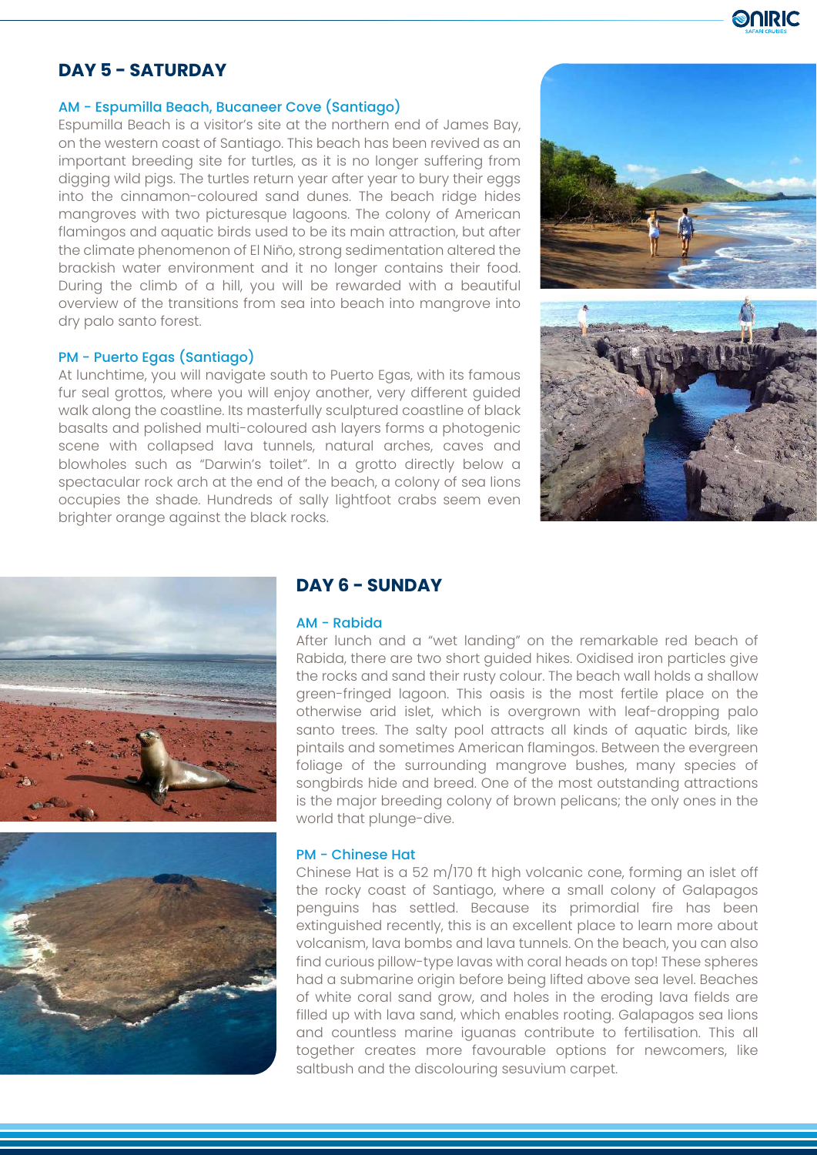

## **DAY 5 - SATURDAY**

#### AM - Espumilla Beach, Bucaneer Cove (Santiago)

Espumilla Beach is a visitor's site at the northern end of James Bay, on the western coast of Santiago. This beach has been revived as an important breeding site for turtles, as it is no longer suffering from digging wild pigs. The turtles return year after year to bury their eggs into the cinnamon-coloured sand dunes. The beach ridge hides mangroves with two picturesque lagoons. The colony of American flamingos and aquatic birds used to be its main attraction, but after the climate phenomenon of El Niño, strong sedimentation altered the brackish water environment and it no longer contains their food. During the climb of a hill, you will be rewarded with a beautiful overview of the transitions from sea into beach into mangrove into dry palo santo forest.

#### PM - Puerto Egas (Santiago)

At lunchtime, you will navigate south to Puerto Egas, with its famous fur seal grottos, where you will enjoy another, very different guided walk along the coastline. Its masterfully sculptured coastline of black basalts and polished multi-coloured ash layers forms a photogenic scene with collapsed lava tunnels, natural arches, caves and blowholes such as "Darwin's toilet". In a grotto directly below a spectacular rock arch at the end of the beach, a colony of sea lions occupies the shade. Hundreds of sally lightfoot crabs seem even brighter orange against the black rocks.







## **DAY 6 - SUNDAY**

## AM - Rabida

After lunch and a "wet landing" on the remarkable red beach of Rabida, there are two short guided hikes. Oxidised iron particles give the rocks and sand their rusty colour. The beach wall holds a shallow green-fringed lagoon. This oasis is the most fertile place on the otherwise arid islet, which is overgrown with leaf-dropping palo santo trees. The salty pool attracts all kinds of aquatic birds, like pintails and sometimes American flamingos. Between the evergreen foliage of the surrounding mangrove bushes, many species of songbirds hide and breed. One of the most outstanding attractions is the major breeding colony of brown pelicans; the only ones in the world that plunge-dive.

#### PM - Chinese Hat

Chinese Hat is a 52 m/170 ft high volcanic cone, forming an islet off the rocky coast of Santiago, where a small colony of Galapagos penguins has settled. Because its primordial fire has been extinguished recently, this is an excellent place to learn more about volcanism, lava bombs and lava tunnels. On the beach, you can also find curious pillow-type lavas with coral heads on top! These spheres had a submarine origin before being lifted above sea level. Beaches of white coral sand grow, and holes in the eroding lava fields are filled up with lava sand, which enables rooting. Galapagos sea lions and countless marine iguanas contribute to fertilisation. This all together creates more favourable options for newcomers, like saltbush and the discolouring sesuvium carpet.